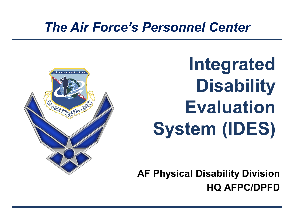### *The Air Force's Personnel Center*



**Integrated Disability Evaluation System (IDES)**

**AF Physical Disability Division HQ AFPC/DPFD**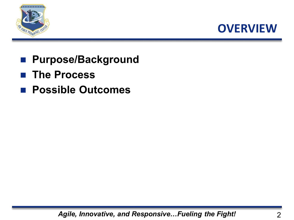



- **Purpose/Background**
- **The Process**
- **Possible Outcomes**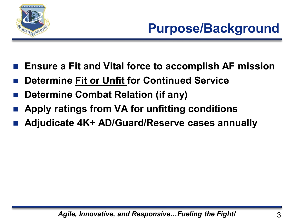

# **Purpose/Background**

- **Ensure a Fit and Vital force to accomplish AF mission**
- **Determine Fit or Unfit for Continued Service**
- **Determine Combat Relation (if any)**
- **Apply ratings from VA for unfitting conditions**
- **Adjudicate 4K+ AD/Guard/Reserve cases annually**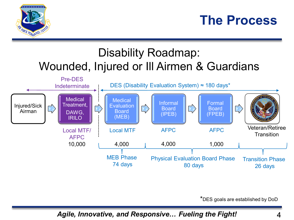

### **The Process**

#### Disability Roadmap: Wounded, Injured or Ill Airmen & Guardians



\*DES goals are established by DoD

*Agile, Innovative, and Responsive… Fueling the Fight!* 4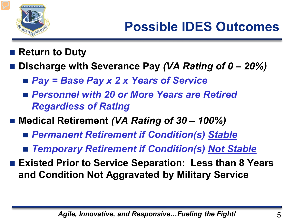

- **Return to Duty**
- **Discharge with Severance Pay** *(VA Rating of 0 – 20%)*
	- *Pay = Base Pay x 2 x Years of Service*
	- Personnel with 20 or More Years are Retired *Regardless of Rating*
- Medical Retirement *(VA Rating of 30 100%)* 
	- *Permanent Retirement if Condition(s) Stable*
	- *Temporary Retirement if Condition(s) Not Stable*
- Existed Prior to Service Separation: Less than 8 Years **and Condition Not Aggravated by Military Service**